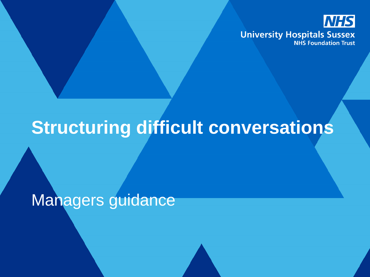

## **Structuring difficult conversations**

Managers guidance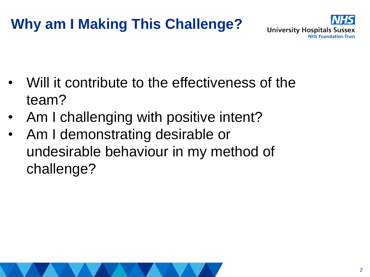## **Why am I Making This Challenge?**



- Will it contribute to the effectiveness of the team?
- Am I challenging with positive intent?
- Am I demonstrating desirable or undesirable behaviour in my method of challenge?

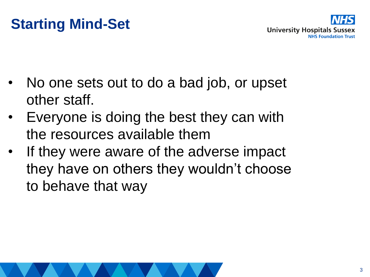## **Starting Mind-Set**



- No one sets out to do a bad job, or upset other staff.
- Everyone is doing the best they can with the resources available them
- If they were aware of the adverse impact they have on others they wouldn't choose to behave that way